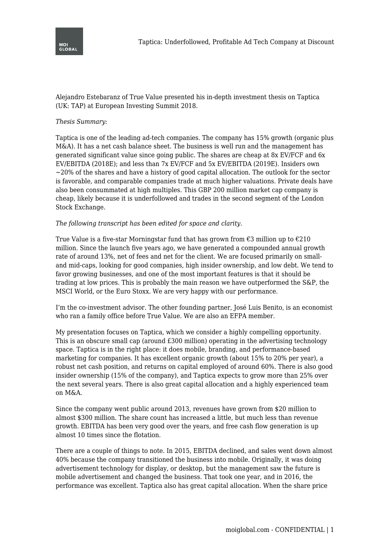

Alejandro Estebaranz of True Value presented his in-depth investment thesis on Taptica (UK: TAP) at European Investing Summit 2018.

## *Thesis Summary:*

Taptica is one of the leading ad-tech companies. The company has 15% growth (organic plus M&A). It has a net cash balance sheet. The business is well run and the management has generated significant value since going public. The shares are cheap at 8x EV/FCF and 6x EV/EBITDA (2018E); and less than 7x EV/FCF and 5x EV/EBITDA (2019E). Insiders own  $\sim$  20% of the shares and have a history of good capital allocation. The outlook for the sector is favorable, and comparable companies trade at much higher valuations. Private deals have also been consummated at high multiples. This GBP 200 million market cap company is cheap, likely because it is underfollowed and trades in the second segment of the London Stock Exchange.

## *The following transcript has been edited for space and clarity.*

True Value is a five-star Morningstar fund that has grown from  $\epsilon$ 3 million up to  $\epsilon$ 210 million. Since the launch five years ago, we have generated a compounded annual growth rate of around 13%, net of fees and net for the client. We are focused primarily on smalland mid-caps, looking for good companies, high insider ownership, and low debt. We tend to favor growing businesses, and one of the most important features is that it should be trading at low prices. This is probably the main reason we have outperformed the S&P, the MSCI World, or the Euro Stoxx. We are very happy with our performance.

I'm the co-investment advisor. The other founding partner, José Luis Benito, is an economist who ran a family office before True Value. We are also an EFPA member.

My presentation focuses on Taptica, which we consider a highly compelling opportunity. This is an obscure small cap (around £300 million) operating in the advertising technology space. Taptica is in the right place: it does mobile, branding, and performance-based marketing for companies. It has excellent organic growth (about 15% to 20% per year), a robust net cash position, and returns on capital employed of around 60%. There is also good insider ownership (15% of the company), and Taptica expects to grow more than 25% over the next several years. There is also great capital allocation and a highly experienced team on M&A.

Since the company went public around 2013, revenues have grown from \$20 million to almost \$300 million. The share count has increased a little, but much less than revenue growth. EBITDA has been very good over the years, and free cash flow generation is up almost 10 times since the flotation.

There are a couple of things to note. In 2015, EBITDA declined, and sales went down almost 40% because the company transitioned the business into mobile. Originally, it was doing advertisement technology for display, or desktop, but the management saw the future is mobile advertisement and changed the business. That took one year, and in 2016, the performance was excellent. Taptica also has great capital allocation. When the share price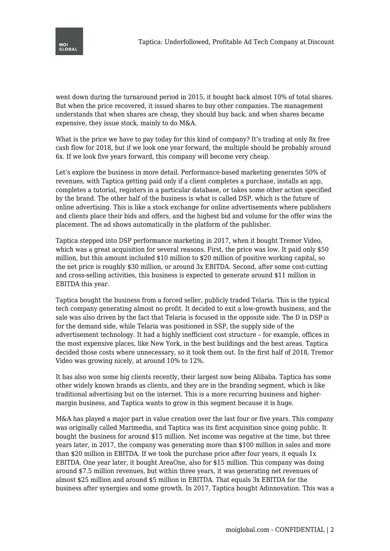

went down during the turnaround period in 2015, it bought back almost 10% of total shares. But when the price recovered, it issued shares to buy other companies. The management understands that when shares are cheap, they should buy back, and when shares became expensive, they issue stock, mainly to do M&A.

What is the price we have to pay today for this kind of company? It's trading at only 8x free cash flow for 2018, but if we look one year forward, the multiple should be probably around 6x. If we look five years forward, this company will become very cheap.

Let's explore the business in more detail. Performance-based marketing generates 50% of revenues, with Taptica getting paid only if a client completes a purchase, installs an app, completes a tutorial, registers in a particular database, or takes some other action specified by the brand. The other half of the business is what is called DSP, which is the future of online advertising. This is like a stock exchange for online advertisements where publishers and clients place their bids and offers, and the highest bid and volume for the offer wins the placement. The ad shows automatically in the platform of the publisher.

Taptica stepped into DSP performance marketing in 2017, when it bought Tremor Video, which was a great acquisition for several reasons. First, the price was low. It paid only \$50 million, but this amount included \$10 million to \$20 million of positive working capital, so the net price is roughly \$30 million, or around 3x EBITDA. Second, after some cost-cutting and cross-selling activities, this business is expected to generate around \$11 million in EBITDA this year.

Taptica bought the business from a forced seller, publicly traded Telaria. This is the typical tech company generating almost no profit. It decided to exit a low-growth business, and the sale was also driven by the fact that Telaria is focused in the opposite side. The D in DSP is for the demand side, while Telaria was positioned in SSP, the supply side of the advertisement technology. It had a highly inefficient cost structure – for example, offices in the most expensive places, like New York, in the best buildings and the best areas. Taptica decided those costs where unnecessary, so it took them out. In the first half of 2018, Tremor Video was growing nicely, at around 10% to 12%.

It has also won some big clients recently, their largest now being Alibaba. Taptica has some other widely known brands as clients, and they are in the branding segment, which is like traditional advertising but on the internet. This is a more recurring business and highermargin business, and Taptica wants to grow in this segment because it is huge.

M&A has played a major part in value creation over the last four or five years. This company was originally called Marimedia, and Taptica was its first acquisition since going public. It bought the business for around \$15 million. Net income was negative at the time, but three years later, in 2017, the company was generating more than \$100 million in sales and more than \$20 million in EBITDA. If we took the purchase price after four years, it equals 1x EBITDA. One year later, it bought AreaOne, also for \$15 million. This company was doing around \$7.5 million revenues, but within three years, it was generating net revenues of almost \$25 million and around \$5 million in EBITDA. That equals 3x EBITDA for the business after synergies and some growth. In 2017, Taptica bought Adinnovation. This was a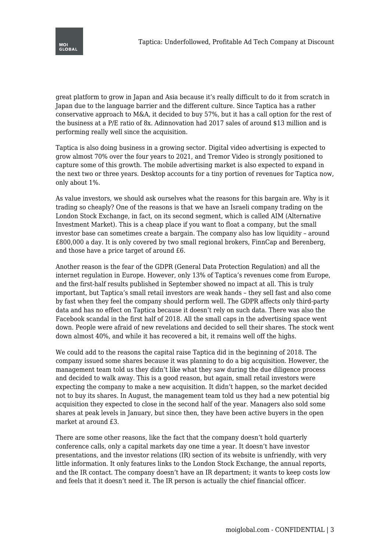

great platform to grow in Japan and Asia because it's really difficult to do it from scratch in Japan due to the language barrier and the different culture. Since Taptica has a rather conservative approach to M&A, it decided to buy 57%, but it has a call option for the rest of the business at a P/E ratio of 8x. Adinnovation had 2017 sales of around \$13 million and is performing really well since the acquisition.

Taptica is also doing business in a growing sector. Digital video advertising is expected to grow almost 70% over the four years to 2021, and Tremor Video is strongly positioned to capture some of this growth. The mobile advertising market is also expected to expand in the next two or three years. Desktop accounts for a tiny portion of revenues for Taptica now, only about 1%.

As value investors, we should ask ourselves what the reasons for this bargain are. Why is it trading so cheaply? One of the reasons is that we have an Israeli company trading on the London Stock Exchange, in fact, on its second segment, which is called AIM (Alternative Investment Market). This is a cheap place if you want to float a company, but the small investor base can sometimes create a bargain. The company also has low liquidity – around £800,000 a day. It is only covered by two small regional brokers, FinnCap and Berenberg, and those have a price target of around £6.

Another reason is the fear of the GDPR (General Data Protection Regulation) and all the internet regulation in Europe. However, only 13% of Taptica's revenues come from Europe, and the first-half results published in September showed no impact at all. This is truly important, but Taptica's small retail investors are weak hands – they sell fast and also come by fast when they feel the company should perform well. The GDPR affects only third-party data and has no effect on Taptica because it doesn't rely on such data. There was also the Facebook scandal in the first half of 2018. All the small caps in the advertising space went down. People were afraid of new revelations and decided to sell their shares. The stock went down almost 40%, and while it has recovered a bit, it remains well off the highs.

We could add to the reasons the capital raise Taptica did in the beginning of 2018. The company issued some shares because it was planning to do a big acquisition. However, the management team told us they didn't like what they saw during the due diligence process and decided to walk away. This is a good reason, but again, small retail investors were expecting the company to make a new acquisition. It didn't happen, so the market decided not to buy its shares. In August, the management team told us they had a new potential big acquisition they expected to close in the second half of the year. Managers also sold some shares at peak levels in January, but since then, they have been active buyers in the open market at around £3.

There are some other reasons, like the fact that the company doesn't hold quarterly conference calls, only a capital markets day one time a year. It doesn't have investor presentations, and the investor relations (IR) section of its website is unfriendly, with very little information. It only features links to the London Stock Exchange, the annual reports, and the IR contact. The company doesn't have an IR department; it wants to keep costs low and feels that it doesn't need it. The IR person is actually the chief financial officer.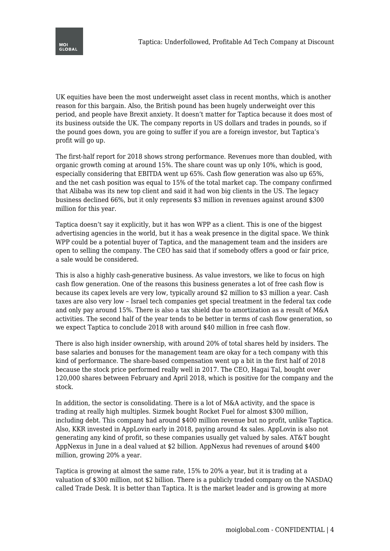

UK equities have been the most underweight asset class in recent months, which is another reason for this bargain. Also, the British pound has been hugely underweight over this period, and people have Brexit anxiety. It doesn't matter for Taptica because it does most of its business outside the UK. The company reports in US dollars and trades in pounds, so if the pound goes down, you are going to suffer if you are a foreign investor, but Taptica's profit will go up.

The first-half report for 2018 shows strong performance. Revenues more than doubled, with organic growth coming at around 15%. The share count was up only 10%, which is good, especially considering that EBITDA went up 65%. Cash flow generation was also up 65%, and the net cash position was equal to 15% of the total market cap. The company confirmed that Alibaba was its new top client and said it had won big clients in the US. The legacy business declined 66%, but it only represents \$3 million in revenues against around \$300 million for this year.

Taptica doesn't say it explicitly, but it has won WPP as a client. This is one of the biggest advertising agencies in the world, but it has a weak presence in the digital space. We think WPP could be a potential buyer of Taptica, and the management team and the insiders are open to selling the company. The CEO has said that if somebody offers a good or fair price, a sale would be considered.

This is also a highly cash-generative business. As value investors, we like to focus on high cash flow generation. One of the reasons this business generates a lot of free cash flow is because its capex levels are very low, typically around \$2 million to \$3 million a year. Cash taxes are also very low – Israel tech companies get special treatment in the federal tax code and only pay around 15%. There is also a tax shield due to amortization as a result of M&A activities. The second half of the year tends to be better in terms of cash flow generation, so we expect Taptica to conclude 2018 with around \$40 million in free cash flow.

There is also high insider ownership, with around 20% of total shares held by insiders. The base salaries and bonuses for the management team are okay for a tech company with this kind of performance. The share-based compensation went up a bit in the first half of 2018 because the stock price performed really well in 2017. The CEO, Hagai Tal, bought over 120,000 shares between February and April 2018, which is positive for the company and the stock.

In addition, the sector is consolidating. There is a lot of M&A activity, and the space is trading at really high multiples. Sizmek bought Rocket Fuel for almost \$300 million, including debt. This company had around \$400 million revenue but no profit, unlike Taptica. Also, KKR invested in AppLovin early in 2018, paying around 4x sales. AppLovin is also not generating any kind of profit, so these companies usually get valued by sales. AT&T bought AppNexus in June in a deal valued at \$2 billion. AppNexus had revenues of around \$400 million, growing 20% a year.

Taptica is growing at almost the same rate, 15% to 20% a year, but it is trading at a valuation of \$300 million, not \$2 billion. There is a publicly traded company on the NASDAQ called Trade Desk. It is better than Taptica. It is the market leader and is growing at more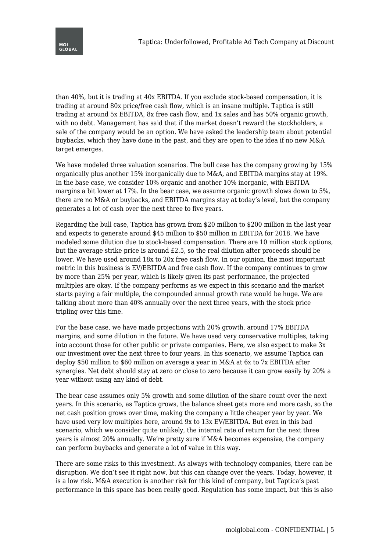

than 40%, but it is trading at 40x EBITDA. If you exclude stock-based compensation, it is trading at around 80x price/free cash flow, which is an insane multiple. Taptica is still trading at around 5x EBITDA, 8x free cash flow, and 1x sales and has 50% organic growth, with no debt. Management has said that if the market doesn't reward the stockholders, a sale of the company would be an option. We have asked the leadership team about potential buybacks, which they have done in the past, and they are open to the idea if no new M&A target emerges.

We have modeled three valuation scenarios. The bull case has the company growing by 15% organically plus another 15% inorganically due to M&A, and EBITDA margins stay at 19%. In the base case, we consider 10% organic and another 10% inorganic, with EBITDA margins a bit lower at 17%. In the bear case, we assume organic growth slows down to 5%, there are no M&A or buybacks, and EBITDA margins stay at today's level, but the company generates a lot of cash over the next three to five years.

Regarding the bull case, Taptica has grown from \$20 million to \$200 million in the last year and expects to generate around \$45 million to \$50 million in EBITDA for 2018. We have modeled some dilution due to stock-based compensation. There are 10 million stock options, but the average strike price is around £2.5, so the real dilution after proceeds should be lower. We have used around 18x to 20x free cash flow. In our opinion, the most important metric in this business is EV/EBITDA and free cash flow. If the company continues to grow by more than 25% per year, which is likely given its past performance, the projected multiples are okay. If the company performs as we expect in this scenario and the market starts paying a fair multiple, the compounded annual growth rate would be huge. We are talking about more than 40% annually over the next three years, with the stock price tripling over this time.

For the base case, we have made projections with 20% growth, around 17% EBITDA margins, and some dilution in the future. We have used very conservative multiples, taking into account those for other public or private companies. Here, we also expect to make 3x our investment over the next three to four years. In this scenario, we assume Taptica can deploy \$50 million to \$60 million on average a year in M&A at 6x to 7x EBITDA after synergies. Net debt should stay at zero or close to zero because it can grow easily by 20% a year without using any kind of debt.

The bear case assumes only 5% growth and some dilution of the share count over the next years. In this scenario, as Taptica grows, the balance sheet gets more and more cash, so the net cash position grows over time, making the company a little cheaper year by year. We have used very low multiples here, around 9x to 13x EV/EBITDA. But even in this bad scenario, which we consider quite unlikely, the internal rate of return for the next three years is almost 20% annually. We're pretty sure if M&A becomes expensive, the company can perform buybacks and generate a lot of value in this way.

There are some risks to this investment. As always with technology companies, there can be disruption. We don't see it right now, but this can change over the years. Today, however, it is a low risk. M&A execution is another risk for this kind of company, but Taptica's past performance in this space has been really good. Regulation has some impact, but this is also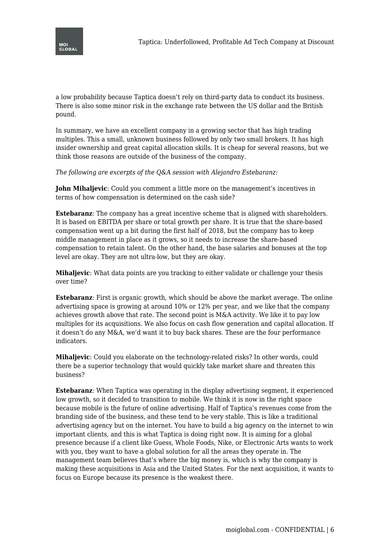

a low probability because Taptica doesn't rely on third-party data to conduct its business. There is also some minor risk in the exchange rate between the US dollar and the British pound.

In summary, we have an excellent company in a growing sector that has high trading multiples. This a small, unknown business followed by only two small brokers. It has high insider ownership and great capital allocation skills. It is cheap for several reasons, but we think those reasons are outside of the business of the company.

*The following are excerpts of the Q&A session with Alejandro Estebaranz:*

**John Mihaljevic**: Could you comment a little more on the management's incentives in terms of how compensation is determined on the cash side?

**Estebaranz**: The company has a great incentive scheme that is aligned with shareholders. It is based on EBITDA per share or total growth per share. It is true that the share-based compensation went up a bit during the first half of 2018, but the company has to keep middle management in place as it grows, so it needs to increase the share-based compensation to retain talent. On the other hand, the base salaries and bonuses at the top level are okay. They are not ultra-low, but they are okay.

**Mihaljevic**: What data points are you tracking to either validate or challenge your thesis over time?

**Estebaranz**: First is organic growth, which should be above the market average. The online advertising space is growing at around 10% or 12% per year, and we like that the company achieves growth above that rate. The second point is M&A activity. We like it to pay low multiples for its acquisitions. We also focus on cash flow generation and capital allocation. If it doesn't do any M&A, we'd want it to buy back shares. These are the four performance indicators.

**Mihaljevic**: Could you elaborate on the technology-related risks? In other words, could there be a superior technology that would quickly take market share and threaten this business?

**Estebaranz**: When Taptica was operating in the display advertising segment, it experienced low growth, so it decided to transition to mobile. We think it is now in the right space because mobile is the future of online advertising. Half of Taptica's revenues come from the branding side of the business, and these tend to be very stable. This is like a traditional advertising agency but on the internet. You have to build a big agency on the internet to win important clients, and this is what Taptica is doing right now. It is aiming for a global presence because if a client like Guess, Whole Foods, Nike, or Electronic Arts wants to work with you, they want to have a global solution for all the areas they operate in. The management team believes that's where the big money is, which is why the company is making these acquisitions in Asia and the United States. For the next acquisition, it wants to focus on Europe because its presence is the weakest there.